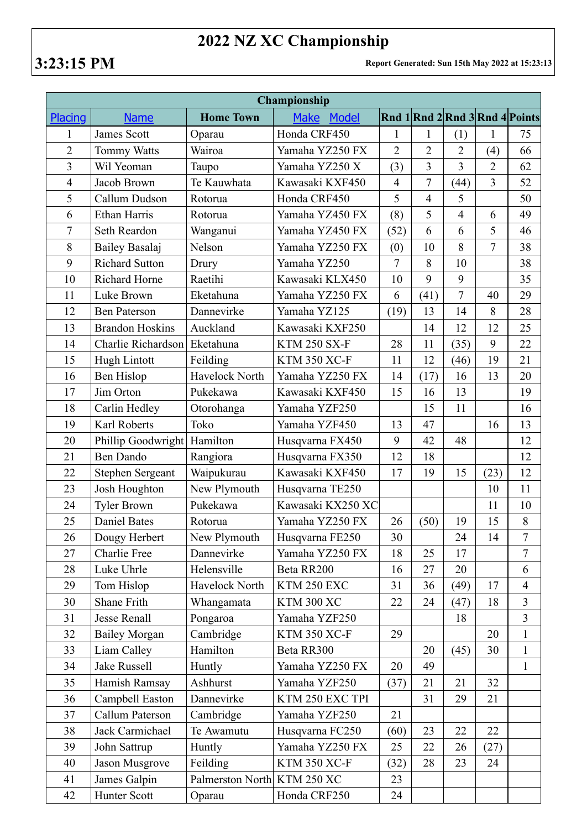## **2022 NZ XC Championship**

**3:23:15 PM Report Generated: Sun 15th May 2022 at 15:23:13**

| Championship   |                         |                  |                      |                |                |                |                |                                |  |  |  |
|----------------|-------------------------|------------------|----------------------|----------------|----------------|----------------|----------------|--------------------------------|--|--|--|
| Placing        | <b>Name</b>             | <b>Home Town</b> | <b>Make</b><br>Model |                |                |                |                | Rnd 1 Rnd 2 Rnd 3 Rnd 4 Points |  |  |  |
| 1              | James Scott             | Oparau           | Honda CRF450         | 1              | 1              | (1)            | 1              | 75                             |  |  |  |
| $\overline{2}$ | <b>Tommy Watts</b>      | Wairoa           | Yamaha YZ250 FX      | $\overline{2}$ | $\overline{2}$ | $\overline{2}$ | (4)            | 66                             |  |  |  |
| $\overline{3}$ | Wil Yeoman              | Taupo            | Yamaha YZ250 X       | (3)            | $\overline{3}$ | $\overline{3}$ | $\overline{2}$ | 62                             |  |  |  |
| $\overline{4}$ | Jacob Brown             | Te Kauwhata      | Kawasaki KXF450      | $\overline{4}$ | $\overline{7}$ | (44)           | $\overline{3}$ | 52                             |  |  |  |
| 5              | Callum Dudson           | Rotorua          | Honda CRF450         | 5              | $\overline{4}$ | 5              |                | 50                             |  |  |  |
| 6              | Ethan Harris            | Rotorua          | Yamaha YZ450 FX      | (8)            | 5              | $\overline{4}$ | 6              | 49                             |  |  |  |
| 7              | Seth Reardon            | Wanganui         | Yamaha YZ450 FX      | (52)           | 6              | 6              | 5              | 46                             |  |  |  |
| 8              | Bailey Basalaj          | Nelson           | Yamaha YZ250 FX      | (0)            | 10             | 8              | $\overline{7}$ | 38                             |  |  |  |
| 9              | <b>Richard Sutton</b>   | Drury            | Yamaha YZ250         | 7              | 8              | 10             |                | 38                             |  |  |  |
| 10             | Richard Horne           | Raetihi          | Kawasaki KLX450      | 10             | 9              | 9              |                | 35                             |  |  |  |
| 11             | Luke Brown              | Eketahuna        | Yamaha YZ250 FX      | 6              | (41)           | $\overline{7}$ | 40             | 29                             |  |  |  |
| 12             | <b>Ben Paterson</b>     | Dannevirke       | Yamaha YZ125         | (19)           | 13             | 14             | 8              | 28                             |  |  |  |
| 13             | <b>Brandon Hoskins</b>  | Auckland         | Kawasaki KXF250      |                | 14             | 12             | 12             | 25                             |  |  |  |
| 14             | Charlie Richardson      | Eketahuna        | <b>KTM 250 SX-F</b>  | 28             | 11             | (35)           | 9              | 22                             |  |  |  |
| 15             | Hugh Lintott            | Feilding         | <b>KTM 350 XC-F</b>  | 11             | 12             | (46)           | 19             | 21                             |  |  |  |
| 16             | Ben Hislop              | Havelock North   | Yamaha YZ250 FX      | 14             | (17)           | 16             | 13             | 20                             |  |  |  |
| 17             | Jim Orton               | Pukekawa         | Kawasaki KXF450      | 15             | 16             | 13             |                | 19                             |  |  |  |
| 18             | Carlin Hedley           | Otorohanga       | Yamaha YZF250        |                | 15             | 11             |                | 16                             |  |  |  |
| 19             | Karl Roberts            | Toko             | Yamaha YZF450        | 13             | 47             |                | 16             | 13                             |  |  |  |
| 20             | Phillip Goodwright      | Hamilton         | Husqvarna FX450      | 9              | 42             | 48             |                | 12                             |  |  |  |
| 21             | <b>Ben Dando</b>        | Rangiora         | Husqvarna FX350      | 12             | 18             |                |                | 12                             |  |  |  |
| 22             | <b>Stephen Sergeant</b> | Waipukurau       | Kawasaki KXF450      | 17             | 19             | 15             | (23)           | 12                             |  |  |  |
| 23             | Josh Houghton           | New Plymouth     | Husqvarna TE250      |                |                |                | 10             | 11                             |  |  |  |
| 24             | <b>Tyler Brown</b>      | Pukekawa         | Kawasaki KX250 XC    |                |                |                | 11             | 10                             |  |  |  |
| 25             | <b>Daniel Bates</b>     | Rotorua          | Yamaha YZ250 FX      | 26             | (50)           | 19             | 15             | $8\,$                          |  |  |  |
| 26             | Dougy Herbert           | New Plymouth     | Husqvarna FE250      | 30             |                | 24             | 14             | $\overline{7}$                 |  |  |  |
| 27             | Charlie Free            | Dannevirke       | Yamaha YZ250 FX      | 18             | 25             | 17             |                | 7                              |  |  |  |
| 28             | Luke Uhrle              | Helensville      | Beta RR200           | 16             | 27             | 20             |                | 6                              |  |  |  |
| 29             | Tom Hislop              | Havelock North   | KTM 250 EXC          | 31             | 36             | (49)           | 17             | $\overline{4}$                 |  |  |  |
| 30             | Shane Frith             | Whangamata       | <b>KTM 300 XC</b>    | 22             | 24             | (47)           | 18             | $\overline{3}$                 |  |  |  |
| 31             | <b>Jesse Renall</b>     | Pongaroa         | Yamaha YZF250        |                |                | 18             |                | $\overline{3}$                 |  |  |  |
| 32             | <b>Bailey Morgan</b>    | Cambridge        | KTM 350 XC-F         | 29             |                |                | 20             | $\mathbf{1}$                   |  |  |  |
| 33             | Liam Calley             | Hamilton         | Beta RR300           |                | 20             | (45)           | 30             | $\mathbf{1}$                   |  |  |  |
| 34             | Jake Russell            | Huntly           | Yamaha YZ250 FX      | 20             | 49             |                |                | $\mathbf{1}$                   |  |  |  |
| 35             | Hamish Ramsay           | Ashhurst         | Yamaha YZF250        | (37)           | 21             | 21             | 32             |                                |  |  |  |
| 36             | Campbell Easton         | Dannevirke       | KTM 250 EXC TPI      |                | 31             | 29             | 21             |                                |  |  |  |
| 37             | Callum Paterson         | Cambridge        | Yamaha YZF250        | 21             |                |                |                |                                |  |  |  |
| 38             | Jack Carmichael         | Te Awamutu       | Husqvarna FC250      | (60)           | 23             | 22             | 22             |                                |  |  |  |
| 39             | John Sattrup            | Huntly           | Yamaha YZ250 FX      | 25             | 22             | 26             | (27)           |                                |  |  |  |
| 40             | Jason Musgrove          | Feilding         | <b>KTM 350 XC-F</b>  | (32)           | 28             | 23             | 24             |                                |  |  |  |
| 41             | James Galpin            | Palmerston North | <b>KTM 250 XC</b>    | 23             |                |                |                |                                |  |  |  |
| 42             | Hunter Scott            | Oparau           | Honda CRF250         | 24             |                |                |                |                                |  |  |  |